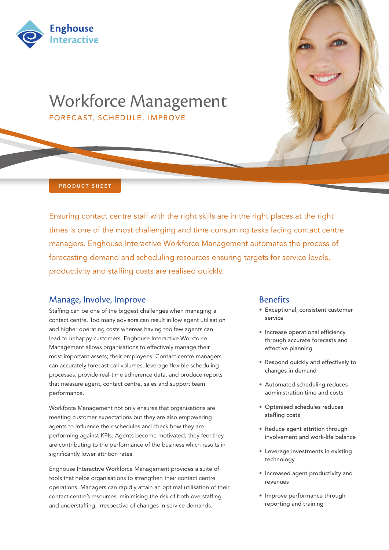



PRODUCT SHEET

Ensuring contact centre staff with the right skills are in the right places at the right times is one of the most challenging and time consuming tasks facing contact centre managers. Enghouse Interactive Workforce Management automates the process of forecasting demand and scheduling resources ensuring targets for service levels, productivity and staffing costs are realised quickly.

## Manage, Involve, Improve

Staffing can be one of the biggest challenges when managing a contact centre. Too many advisors can result in low agent utilisation and higher operating costs whereas having too few agents can lead to unhappy customers. Enghouse Interactive Workforce Management allows organisations to effectively manage their most important assets; their employees. Contact centre managers can accurately forecast call volumes, leverage flexible scheduling processes, provide real-time adherence data, and produce reports that measure agent, contact centre, sales and support team performance.

Workforce Management not only ensures that organisations are meeting customer expectations but they are also empowering agents to influence their schedules and check how they are performing against KPIs. Agents become motivated; they feel they are contributing to the performance of the business which results in significantly lower attrition rates.

Enghouse Interactive Workforce Management provides a suite of tools that helps organisations to strengthen their contact centre operations. Managers can rapidly attain an optimal utilisation of their contact centre's resources, minimising the risk of both overstaffing and understaffing, irrespective of changes in service demands.

## **Benefits**

- • Exceptional, consistent customer service
- Increase operational efficiency through accurate forecasts and effective planning
- • Respond quickly and effectively to changes in demand
- • Automated scheduling reduces administration time and costs
- • Optimised schedules reduces staffing costs
- Reduce agent attrition through involvement and work-life balance
- • Leverage investments in existing technology
- • Increased agent productivity and revenues
- Improve performance through reporting and training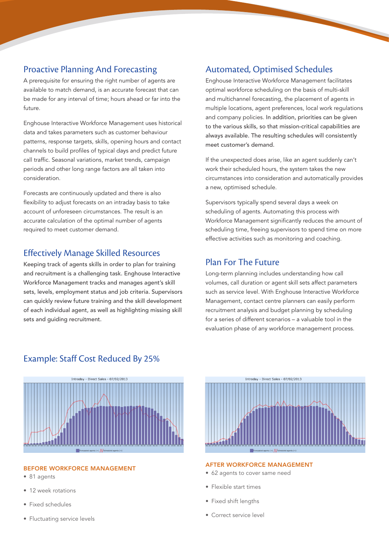# Proactive Planning And Forecasting

A prerequisite for ensuring the right number of agents are available to match demand, is an accurate forecast that can be made for any interval of time; hours ahead or far into the future.

Enghouse Interactive Workforce Management uses historical data and takes parameters such as customer behaviour patterns, response targets, skills, opening hours and contact channels to build profiles of typical days and predict future call traffic. Seasonal variations, market trends, campaign periods and other long range factors are all taken into consideration.

Forecasts are continuously updated and there is also flexibility to adjust forecasts on an intraday basis to take account of unforeseen circumstances. The result is an accurate calculation of the optimal number of agents required to meet customer demand.

# Effectively Manage Skilled Resources

Keeping track of agents skills in order to plan for training and recruitment is a challenging task. Enghouse Interactive Workforce Management tracks and manages agent's skill sets, levels, employment status and job criteria. Supervisors can quickly review future training and the skill development of each individual agent, as well as highlighting missing skill sets and guiding recruitment.

# Automated, Optimised Schedules

Enghouse Interactive Workforce Management facilitates optimal workforce scheduling on the basis of multi-skill and multichannel forecasting, the placement of agents in multiple locations, agent preferences, local work regulations and company policies. In addition, priorities can be given to the various skills, so that mission-critical capabilities are always available. The resulting schedules will consistently meet customer's demand.

If the unexpected does arise, like an agent suddenly can't work their scheduled hours, the system takes the new circumstances into consideration and automatically provides a new, optimised schedule.

Supervisors typically spend several days a week on scheduling of agents. Automating this process with Workforce Management significantly reduces the amount of scheduling time, freeing supervisors to spend time on more effective activities such as monitoring and coaching.

## Plan For The Future

Long-term planning includes understanding how call volumes, call duration or agent skill sets affect parameters such as service level. With Enghouse Interactive Workforce Management, contact centre planners can easily perform recruitment analysis and budget planning by scheduling for a series of different scenarios – a valuable tool in the evaluation phase of any workforce management process.



#### BEFORE WORKFORCE MANAGEMENT

- 81 agents
- 12 week rotations
- Fixed schedules
- Fluctuating service levels



#### AFTER WORKFORCE MANAGEMENT

- 62 agents to cover same need
- Flexible start times
- Fixed shift lengths
- Correct service level

# Example: Staff Cost Reduced By 25%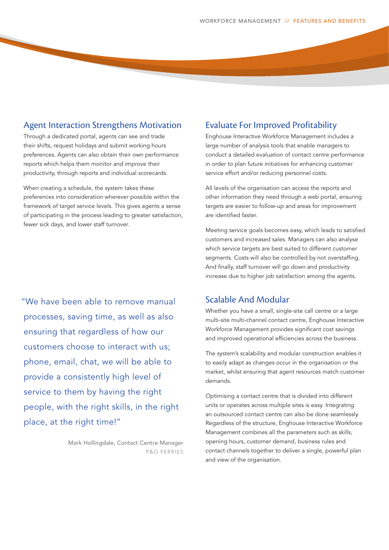# Agent Interaction Strengthens Motivation

Through a dedicated portal, agents can see and trade their shifts, request holidays and submit working hours preferences. Agents can also obtain their own performance reports which helps them monitor and improve their productivity, through reports and individual scorecards.

When creating a schedule, the system takes these preferences into consideration wherever possible within the framework of target service levels. This gives agents a sense of participating in the process leading to greater satisfaction, fewer sick days, and lower staff turnover.

"We have been able to remove manual processes, saving time, as well as also ensuring that regardless of how our customers choose to interact with us; phone, email, chat, we will be able to provide a consistently high level of service to them by having the right people, with the right skills, in the right place, at the right time!"

> Mark Hollingdale, Contact Centre Manager P&O FERRIES

## Evaluate For Improved Profitability

Enghouse Interactive Workforce Management includes a large number of analysis tools that enable managers to conduct a detailed evaluation of contact centre performance in order to plan future initiatives for enhancing customer service effort and/or reducing personnel costs.

All levels of the organisation can access the reports and other information they need through a web portal, ensuring targets are easier to follow-up and areas for improvement are identified faster.

Meeting service goals becomes easy, which leads to satisfied customers and increased sales. Managers can also analyse which service targets are best suited to different customer segments. Costs will also be controlled by not overstaffing. And finally, staff turnover will go down and productivity increase due to higher job satisfaction among the agents.

## Scalable And Modular

Whether you have a small, single-site call centre or a large multi-site multi-channel contact centre, Enghouse Interactive Workforce Management provides significant cost savings and improved operational efficiencies across the business.

The system's scalability and modular construction enables it to easily adapt as changes occur in the organisation or the market, whilst ensuring that agent resources match customer demands.

Optimising a contact centre that is divided into different units or operates across multiple sites is easy. Integrating an outsourced contact centre can also be done seamlessly. Regardless of the structure, Enghouse Interactive Workforce Management combines all the parameters such as skills, opening hours, customer demand, business rules and contact channels together to deliver a single, powerful plan and view of the organisation.